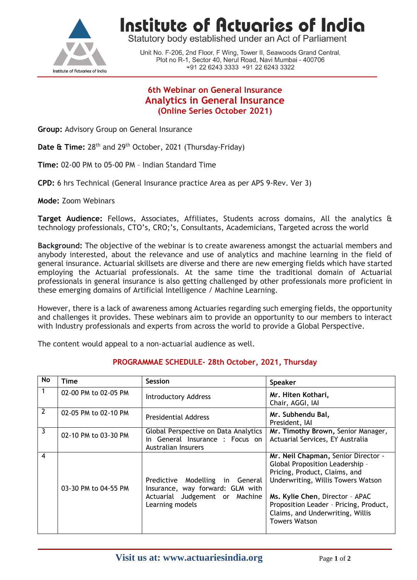

# **Institute of Actuaries of India**

Statutory body established under an Act of Parliament

Unit No. F-206, 2nd Floor, F Wing, Tower II, Seawoods Grand Central, Plot no R-1, Sector 40, Nerul Road, Navi Mumbai - 400706 +91 22 6243 3333 +91 22 6243 3322

## **6th Webinar on General Insurance Analytics in General Insurance (Online Series October 2021)**

**Group:** Advisory Group on General Insurance

**Date & Time:** 28<sup>th</sup> and 29<sup>th</sup> October, 2021 (Thursday-Friday)

**Time:** 02-00 PM to 05-00 PM – Indian Standard Time

**CPD:** 6 hrs Technical (General Insurance practice Area as per APS 9-Rev. Ver 3)

**Mode:** Zoom Webinars

**Target Audience:** Fellows, Associates, Affiliates, Students across domains, All the analytics & technology professionals, CTO's, CRO;'s, Consultants, Academicians, Targeted across the world

**Background:** The objective of the webinar is to create awareness amongst the actuarial members and anybody interested, about the relevance and use of analytics and machine learning in the field of general insurance. Actuarial skillsets are diverse and there are new emerging fields which have started employing the Actuarial professionals. At the same time the traditional domain of Actuarial professionals in general insurance is also getting challenged by other professionals more proficient in these emerging domains of Artificial Intelligence / Machine Learning.

However, there is a lack of awareness among Actuaries regarding such emerging fields, the opportunity and challenges it provides. These webinars aim to provide an opportunity to our members to interact with Industry professionals and experts from across the world to provide a Global Perspective.

The content would appeal to a non-actuarial audience as well.

| No               | <b>Time</b>          | <b>Session</b>                                                                                                           | <b>Speaker</b>                                                                                                                                                                                                                                                                         |
|------------------|----------------------|--------------------------------------------------------------------------------------------------------------------------|----------------------------------------------------------------------------------------------------------------------------------------------------------------------------------------------------------------------------------------------------------------------------------------|
| $\mathbf{1}$     | 02-00 PM to 02-05 PM | <b>Introductory Address</b>                                                                                              | Mr. Hiten Kothari,<br>Chair, AGGI, IAI                                                                                                                                                                                                                                                 |
| $\overline{2}$   | 02-05 PM to 02-10 PM | <b>Presidential Address</b>                                                                                              | Mr. Subhendu Bal,<br>President, IAI                                                                                                                                                                                                                                                    |
| د                | 02-10 PM to 03-30 PM | Global Perspective on Data Analytics<br>in General Insurance : Focus on<br>Australian Insurers                           | Mr. Timothy Brown, Senior Manager,<br>Actuarial Services, EY Australia                                                                                                                                                                                                                 |
| $\boldsymbol{4}$ | 03-30 PM to 04-55 PM | Predictive Modelling in General<br>Insurance, way forward: GLM with<br>Actuarial Judgement or Machine<br>Learning models | Mr. Neil Chapman, Senior Director -<br>Global Proposition Leadership -<br>Pricing, Product, Claims, and<br>Underwriting, Willis Towers Watson<br>Ms. Kylie Chen, Director - APAC<br>Proposition Leader - Pricing, Product,<br>Claims, and Underwriting, Willis<br><b>Towers Watson</b> |

### **PROGRAMMAE SCHEDULE- 28th October, 2021, Thursday**